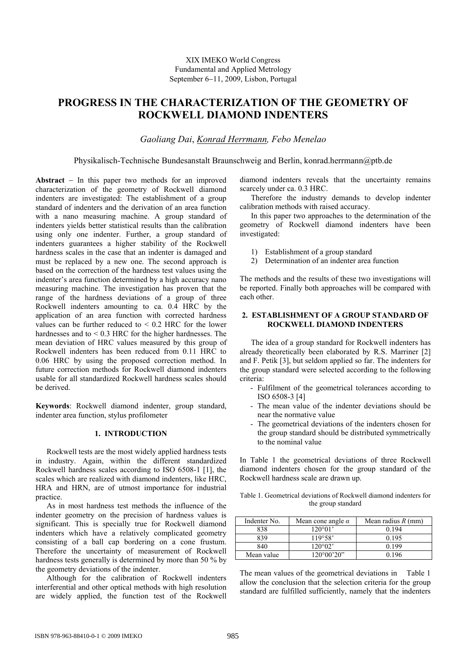# **PROGRESS IN THE CHARACTERIZATION OF THE GEOMETRY OF ROCKWELL DIAMOND INDENTERS**

# *Gaoliang Dai*, *Konrad Herrmann, Febo Menelao*

Physikalisch-Technische Bundesanstalt Braunschweig and Berlin, konrad.herrmann@ptb.de

**Abstract** − In this paper two methods for an improved characterization of the geometry of Rockwell diamond indenters are investigated: The establishment of a group standard of indenters and the derivation of an area function with a nano measuring machine. A group standard of indenters yields better statistical results than the calibration using only one indenter. Further, a group standard of indenters guarantees a higher stability of the Rockwell hardness scales in the case that an indenter is damaged and must be replaced by a new one. The second approach is based on the correction of the hardness test values using the indenter's area function determined by a high accuracy nano measuring machine. The investigation has proven that the range of the hardness deviations of a group of three Rockwell indenters amounting to ca. 0.4 HRC by the application of an area function with corrected hardness values can be further reduced to  $< 0.2$  HRC for the lower hardnesses and to  $\leq$  0.3 HRC for the higher hardnesses. The mean deviation of HRC values measured by this group of Rockwell indenters has been reduced from 0.11 HRC to 0.06 HRC by using the proposed correction method. In future correction methods for Rockwell diamond indenters usable for all standardized Rockwell hardness scales should be derived.

**Keywords**: Rockwell diamond indenter, group standard, indenter area function, stylus profilometer

# **1. INTRODUCTION**

 Rockwell tests are the most widely applied hardness tests in industry. Again, within the different standardized Rockwell hardness scales according to ISO 6508-1 [1], the scales which are realized with diamond indenters, like HRC, HRA and HRN, are of utmost importance for industrial practice.

 As in most hardness test methods the influence of the indenter geometry on the precision of hardness values is significant. This is specially true for Rockwell diamond indenters which have a relatively complicated geometry consisting of a ball cap bordering on a cone frustum. Therefore the uncertainty of measurement of Rockwell hardness tests generally is determined by more than 50 % by the geometry deviations of the indenter.

 Although for the calibration of Rockwell indenters interferential and other optical methods with high resolution are widely applied, the function test of the Rockwell diamond indenters reveals that the uncertainty remains scarcely under ca. 0.3 HRC.

 Therefore the industry demands to develop indenter calibration methods with raised accuracy.

 In this paper two approaches to the determination of the geometry of Rockwell diamond indenters have been investigated:

- 1) Establishment of a group standard
- 2) Determination of an indenter area function

The methods and the results of these two investigations will be reported. Finally both approaches will be compared with each other.

# **2. ESTABLISHMENT OF A GROUP STANDARD OF ROCKWELL DIAMOND INDENTERS**

 The idea of a group standard for Rockwell indenters has already theoretically been elaborated by R.S. Marriner [2] and F. Petik [3], but seldom applied so far. The indenters for the group standard were selected according to the following criteria:

- Fulfilment of the geometrical tolerances according to ISO 6508-3 [4]
- The mean value of the indenter deviations should be near the normative value
- The geometrical deviations of the indenters chosen for the group standard should be distributed symmetrically to the nominal value

In Table 1 the geometrical deviations of three Rockwell diamond indenters chosen for the group standard of the Rockwell hardness scale are drawn up.

Table 1. Geometrical deviations of Rockwell diamond indenters for the group standard

| Indenter No. | Mean cone angle $\alpha$ | Mean radius $R$ (mm) |
|--------------|--------------------------|----------------------|
| 838          | 120°01'                  | 0.194                |
| 839          | 119°58'                  | 0.195                |
| 840          | 120°02'                  | 0.199                |
| Mean value   | $120^{\circ}00'20"$      | 0 196                |

The mean values of the geometrical deviations in Table 1 allow the conclusion that the selection criteria for the group standard are fulfilled sufficiently, namely that the indenters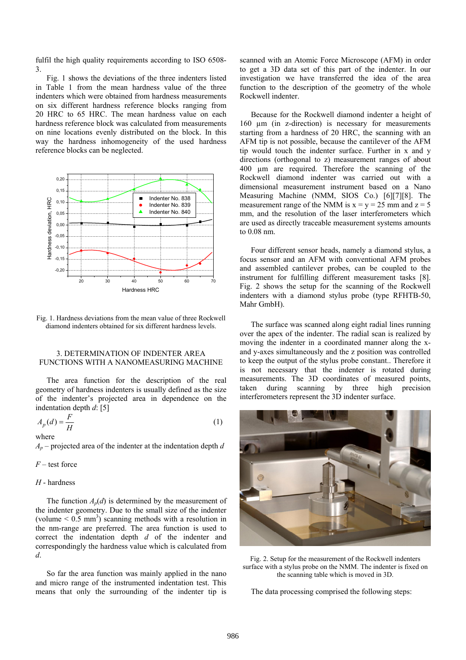fulfil the high quality requirements according to ISO 6508- 3.

 Fig. 1 shows the deviations of the three indenters listed in Table 1 from the mean hardness value of the three indenters which were obtained from hardness measurements on six different hardness reference blocks ranging from 20 HRC to 65 HRC. The mean hardness value on each hardness reference block was calculated from measurements on nine locations evenly distributed on the block. In this way the hardness inhomogeneity of the used hardness reference blocks can be neglected.



Fig. 1. Hardness deviations from the mean value of three Rockwell diamond indenters obtained for six different hardness levels.

### 3. DETERMINATION OF INDENTER AREA FUNCTIONS WITH A NANOMEASURING MACHINE

 The area function for the description of the real geometry of hardness indenters is usually defined as the size of the indenter's projected area in dependence on the indentation depth *d*: [5]

$$
A_p(d) = \frac{F}{H} \tag{1}
$$

where

*Ap* – projected area of the indenter at the indentation depth *d* 

*F* – test force

#### *H* - hardness

The function  $A_p(d)$  is determined by the measurement of the indenter geometry. Due to the small size of the indenter (volume  $\leq 0.5$  mm<sup>3</sup>) scanning methods with a resolution in the nm-range are preferred. The area function is used to correct the indentation depth *d* of the indenter and correspondingly the hardness value which is calculated from *d*.

 So far the area function was mainly applied in the nano and micro range of the instrumented indentation test. This means that only the surrounding of the indenter tip is scanned with an Atomic Force Microscope (AFM) in order to get a 3D data set of this part of the indenter. In our investigation we have transferred the idea of the area function to the description of the geometry of the whole Rockwell indenter.

 Because for the Rockwell diamond indenter a height of 160 µm (in z-direction) is necessary for measurements starting from a hardness of 20 HRC, the scanning with an AFM tip is not possible, because the cantilever of the AFM tip would touch the indenter surface. Further in x and y directions (orthogonal to z) measurement ranges of about 400 µm are required. Therefore the scanning of the Rockwell diamond indenter was carried out with a dimensional measurement instrument based on a Nano Measuring Machine (NMM, SIOS Co.) [6][7][8]. The measurement range of the NMM is  $x = y = 25$  mm and  $z = 5$ mm, and the resolution of the laser interferometers which are used as directly traceable measurement systems amounts to 0.08 nm.

 Four different sensor heads, namely a diamond stylus, a focus sensor and an AFM with conventional AFM probes and assembled cantilever probes, can be coupled to the instrument for fulfilling different measurement tasks [8]. Fig. 2 shows the setup for the scanning of the Rockwell indenters with a diamond stylus probe (type RFHTB-50, Mahr GmbH).

 The surface was scanned along eight radial lines running over the apex of the indenter. The radial scan is realized by moving the indenter in a coordinated manner along the xand y-axes simultaneously and the z position was controlled to keep the output of the stylus probe constant.. Therefore it is not necessary that the indenter is rotated during measurements. The 3D coordinates of measured points, taken during scanning by three high precision interferometers represent the 3D indenter surface.



Fig. 2. Setup for the measurement of the Rockwell indenters surface with a stylus probe on the NMM. The indenter is fixed on the scanning table which is moved in 3D.

The data processing comprised the following steps: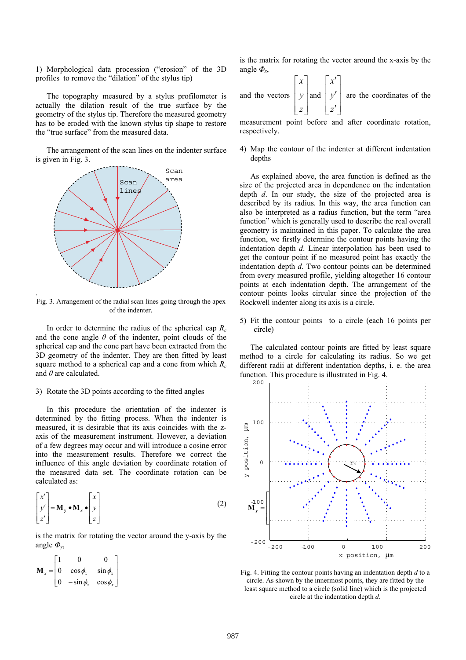1) Morphological data procession ("erosion" of the 3D profiles to remove the "dilation" of the stylus tip)

 The topography measured by a stylus profilometer is actually the dilation result of the true surface by the geometry of the stylus tip. Therefore the measured geometry has to be eroded with the known stylus tip shape to restore the "true surface" from the measured data.

 The arrangement of the scan lines on the indenter surface is given in Fig. 3.



.

Fig. 3. Arrangement of the radial scan lines going through the apex of the indenter.

 In order to determine the radius of the spherical cap *Rc* and the cone angle  $\theta$  of the indenter, point clouds of the spherical cap and the cone part have been extracted from the 3D geometry of the indenter. They are then fitted by least square method to a spherical cap and a cone from which *Rc* and *θ* are calculated.

#### 3) Rotate the 3D points according to the fitted angles

 In this procedure the orientation of the indenter is determined by the fitting process. When the indenter is measured, it is desirable that its axis coincides with the zaxis of the measurement instrument. However, a deviation of a few degrees may occur and will introduce a cosine error into the measurement results. Therefore we correct the influence of this angle deviation by coordinate rotation of the measured data set. The coordinate rotation can be calculated as:

$$
\begin{bmatrix} x' \\ y' \\ z' \end{bmatrix} = \mathbf{M}_{y} \cdot \mathbf{M}_{x} \cdot \begin{bmatrix} x \\ y \\ z \end{bmatrix}
$$
 (2)

is the matrix for rotating the vector around the y-axis by the angle *Φy*,

$$
\mathbf{M}_{x} = \begin{bmatrix} 1 & 0 & 0 \\ 0 & \cos \phi_{x} & \sin \phi_{x} \\ 0 & -\sin \phi_{x} & \cos \phi_{x} \end{bmatrix}
$$

is the matrix for rotating the vector around the x-axis by the angle  $\Phi_{\rm x}$ ,

and the vectors 
$$
\begin{bmatrix} x \\ y \\ z \end{bmatrix}
$$
 and  $\begin{bmatrix} x' \\ y' \\ z' \end{bmatrix}$  are the coordinates of the

measurement point before and after coordinate rotation, respectively.

4) Map the contour of the indenter at different indentation depths

 As explained above, the area function is defined as the size of the projected area in dependence on the indentation depth *d*. In our study, the size of the projected area is described by its radius. In this way, the area function can also be interpreted as a radius function, but the term "area function" which is generally used to describe the real overall geometry is maintained in this paper. To calculate the area function, we firstly determine the contour points having the indentation depth *d*. Linear interpolation has been used to get the contour point if no measured point has exactly the indentation depth *d*. Two contour points can be determined from every measured profile, yielding altogether 16 contour points at each indentation depth. The arrangement of the contour points looks circular since the projection of the Rockwell indenter along its axis is a circle.

5) Fit the contour points to a circle (each 16 points per circle)

 The calculated contour points are fitted by least square method to a circle for calculating its radius. So we get different radii at different indentation depths, i. e. the area function. This procedure is illustrated in Fig. 4.



Fig. 4. Fitting the contour points having an indentation depth *d* to a circle. As shown by the innermost points, they are fitted by the least square method to a circle (solid line) which is the projected circle at the indentation depth *d*.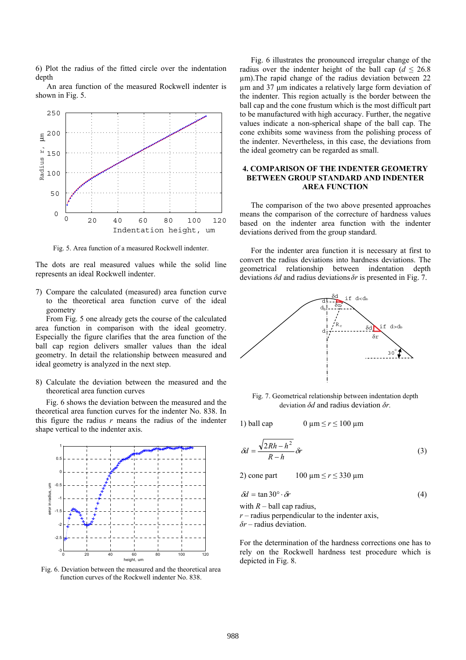6) Plot the radius of the fitted circle over the indentation depth

 An area function of the measured Rockwell indenter is shown in Fig. 5.



Fig. 5. Area function of a measured Rockwell indenter.

The dots are real measured values while the solid line represents an ideal Rockwell indenter.

7) Compare the calculated (measured) area function curve to the theoretical area function curve of the ideal geometry

 From Fig. 5 one already gets the course of the calculated area function in comparison with the ideal geometry. Especially the figure clarifies that the area function of the ball cap region delivers smaller values than the ideal geometry. In detail the relationship between measured and ideal geometry is analyzed in the next step.

8) Calculate the deviation between the measured and the theoretical area function curves

 Fig. 6 shows the deviation between the measured and the theoretical area function curves for the indenter No. 838. In this figure the radius  $r$  means the radius of the indenter shape vertical to the indenter axis.



Fig. 6. Deviation between the measured and the theoretical area function curves of the Rockwell indenter No. 838.

 Fig. 6 illustrates the pronounced irregular change of the radius over the indenter height of the ball cap ( $d \le 26.8$ ) µm).The rapid change of the radius deviation between 22 µm and 37 µm indicates a relatively large form deviation of the indenter. This region actually is the border between the ball cap and the cone frustum which is the most difficult part to be manufactured with high accuracy. Further, the negative values indicate a non-spherical shape of the ball cap. The cone exhibits some waviness from the polishing process of the indenter. Nevertheless, in this case, the deviations from the ideal geometry can be regarded as small.

## **4. COMPARISON OF THE INDENTER GEOMETRY BETWEEN GROUP STANDARD AND INDENTER AREA FUNCTION**

 The comparison of the two above presented approaches means the comparison of the correcture of hardness values based on the indenter area function with the indenter deviations derived from the group standard.

 For the indenter area function it is necessary at first to convert the radius deviations into hardness deviations. The geometrical relationship between indentation depth deviations *δd* and radius deviations *δr* is presented in Fig. 7.



Fig. 7. Geometrical relationship between indentation depth deviation *δd* and radius deviation *δr.*

1) ball cap  $0 \mu m \le r \le 100 \mu m$ 

$$
\delta d = \frac{\sqrt{2Rh - h^2}}{R - h} \delta r \tag{3}
$$

2) cone part  $100 \mu m \le r \le 330 \mu m$ 

$$
\delta d = \tan 30^\circ \cdot \delta r \tag{4}
$$

with  $R -$  ball cap radius,

 $r$  – radius perpendicular to the indenter axis, *δr* – radius deviation.

For the determination of the hardness corrections one has to rely on the Rockwell hardness test procedure which is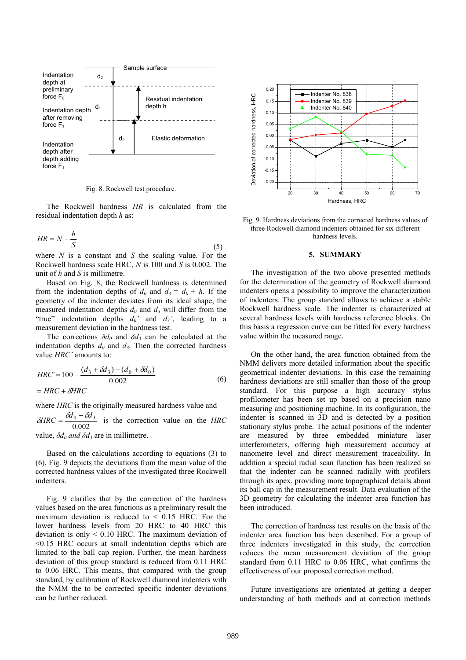

Fig. 8. Rockwell test procedure.

 The Rockwell hardness *HR* is calculated from the residual indentation depth *h* as:

$$
HR = N - \frac{h}{S} \tag{5}
$$

where *N* is a constant and *S* the scaling value. For the Rockwell hardness scale HRC, *N* is 100 und *S* is 0.002. The unit of *h* and *S* is millimetre.

 Based on Fig. 8, the Rockwell hardness is determined from the indentation depths of  $d_0$  and  $d_3 = d_0 + h$ . If the geometry of the indenter deviates from its ideal shape, the measured indentation depths  $d_0$  and  $d_3$  will differ from the "true" indentation depths  $d_0$  and  $d_3$ ', leading to a measurement deviation in the hardness test.

The corrections  $\delta d_0$  and  $\delta d_3$  can be calculated at the indentation depths  $d_0$  and  $d_3$ . Then the corrected hardness value *HRC'* amounts to:

$$
HRC' = 100 - \frac{(d_3 + \delta d_3) - (d_0 + \delta d_0)}{0.002}
$$
  
= HRC +  $\delta$ HRC (6)

where *HRC* is the originally measured hardness value and

 $\delta HRC = \frac{\delta d_0 - \delta d_3}{0.002}$  is the correction value on the *HRC* 

value, *δd0 and δd3* are in millimetre.

 Based on the calculations according to equations (3) to (6), Fig. 9 depicts the deviations from the mean value of the corrected hardness values of the investigated three Rockwell indenters.

 Fig. 9 clarifies that by the correction of the hardness values based on the area functions as a preliminary result the maximum deviation is reduced to  $\leq$  0.15 HRC. For the lower hardness levels from 20 HRC to 40 HRC this deviation is only < 0.10 HRC. The maximum deviation of <0.15 HRC occurs at small indentation depths which are limited to the ball cap region. Further, the mean hardness deviation of this group standard is reduced from 0.11 HRC to 0.06 HRC. This means, that compared with the group standard, by calibration of Rockwell diamond indenters with the NMM the to be corrected specific indenter deviations can be further reduced.



Fig. 9. Hardness deviations from the corrected hardness values of three Rockwell diamond indenters obtained for six different hardness levels.

#### **5. SUMMARY**

The investigation of the two above presented methods for the determination of the geometry of Rockwell diamond indenters opens a possibility to improve the characterization of indenters. The group standard allows to achieve a stable Rockwell hardness scale. The indenter is characterized at several hardness levels with hardness reference blocks. On this basis a regression curve can be fitted for every hardness value within the measured range.

 On the other hand, the area function obtained from the NMM delivers more detailed information about the specific geometrical indenter deviations. In this case the remaining hardness deviations are still smaller than those of the group standard. For this purpose a high accuracy stylus profilometer has been set up based on a precision nano measuring and positioning machine. In its configuration, the indenter is scanned in 3D and is detected by a position stationary stylus probe. The actual positions of the indenter are measured by three embedded miniature laser interferometers, offering high measurement accuracy at nanometre level and direct measurement traceability. In addition a special radial scan function has been realized so that the indenter can be scanned radially with profilers through its apex, providing more topographical details about its ball cap in the measurement result. Data evaluation of the 3D geometry for calculating the indenter area function has been introduced.

 The correction of hardness test results on the basis of the indenter area function has been described. For a group of three indenters investigated in this study, the correction reduces the mean measurement deviation of the group standard from 0.11 HRC to 0.06 HRC, what confirms the effectiveness of our proposed correction method.

 Future investigations are orientated at getting a deeper understanding of both methods and at correction methods